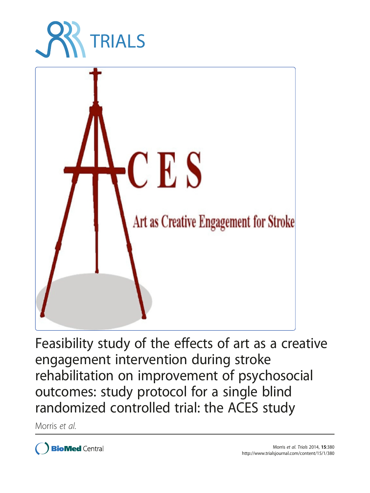



Feasibility study of the effects of art as a creative engagement intervention during stroke rehabilitation on improvement of psychosocial outcomes: study protocol for a single blind randomized controlled trial: the ACES study

Morris et al.

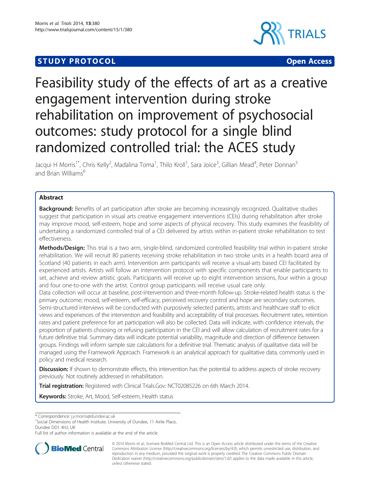# **STUDY PROTOCOL CONSUMING THE CONSUMING OPEN ACCESS**



# Feasibility study of the effects of art as a creative engagement intervention during stroke rehabilitation on improvement of psychosocial outcomes: study protocol for a single blind randomized controlled trial: the ACES study

Jacqui H Morris<sup>1\*</sup>, Chris Kelly<sup>2</sup>, Madalina Toma<sup>1</sup>, Thilo Kroll<sup>1</sup>, Sara Joice<sup>3</sup>, Gillian Mead<sup>4</sup>, Peter Donnan<sup>5</sup> and Brian Williams<sup>6</sup>

# Abstract

Background: Benefits of art participation after stroke are becoming increasingly recognized. Qualitative studies suggest that participation in visual arts creative engagement interventions (CEIs) during rehabilitation after stroke may improve mood, self-esteem, hope and some aspects of physical recovery. This study examines the feasibility of undertaking a randomized controlled trial of a CEI delivered by artists within in-patient stroke rehabilitation to test effectiveness.

Methods/Design: This trial is a two arm, single-blind, randomized controlled feasibility trial within in-patient stroke rehabilitation. We will recruit 80 patients receiving stroke rehabilitation in two stroke units in a health board area of Scotland (40 patients in each arm). Intervention arm participants will receive a visual-arts based CEI facilitated by experienced artists. Artists will follow an intervention protocol with specific components that enable participants to set, achieve and review artistic goals. Participants will receive up to eight intervention sessions, four within a group and four one-to-one with the artist. Control group participants will receive usual care only.

Data collection will occur at baseline, post-intervention and three-month follow-up. Stroke-related health status is the primary outcome; mood, self-esteem, self-efficacy, perceived recovery control and hope are secondary outcomes. Semi-structured interviews will be conducted with purposively selected patients, artists and healthcare staff to elicit views and experiences of the intervention and feasibility and acceptability of trial processes. Recruitment rates, retention rates and patient preference for art participation will also be collected. Data will indicate, with confidence intervals, the proportion of patients choosing or refusing participation in the CEI and will allow calculation of recruitment rates for a future definitive trial. Summary data will indicate potential variability, magnitude and direction of difference between groups. Findings will inform sample size calculations for a definitive trial. Thematic analysis of qualitative data will be managed using the Framework Approach. Framework is an analytical approach for qualitative data, commonly used in policy and medical research.

**Discussion:** If shown to demonstrate effects, this intervention has the potential to address aspects of stroke recovery previously. Not routinely addressed in rehabilitation.

**Trial registration:** Registered with Clinical Trials.Gov: [NCT02085226](http://clinicaltrials.gov/show/NCT02085226) on 6th March 2014.

Keywords: Stroke, Art, Mood, Self-esteem, Health status

\* Correspondence: [j.y.morris@dundee.ac.uk](mailto:j.y.morris@dundee.ac.uk) <sup>1</sup>

<sup>1</sup>Social Dimensions of Health Institute, University of Dundee, 11 Airlie Place, Dundee DD1 4HJ, UK

Full list of author information is available at the end of the article



© 2014 Morris et al.; licensee BioMed Central Ltd. This is an Open Access article distributed under the terms of the Creative Commons Attribution License [\(http://creativecommons.org/licenses/by/4.0\)](http://creativecommons.org/licenses/by/4.0), which permits unrestricted use, distribution, and reproduction in any medium, provided the original work is properly credited. The Creative Commons Public Domain Dedication waiver [\(http://creativecommons.org/publicdomain/zero/1.0/](http://creativecommons.org/publicdomain/zero/1.0/)) applies to the data made available in this article, unless otherwise stated.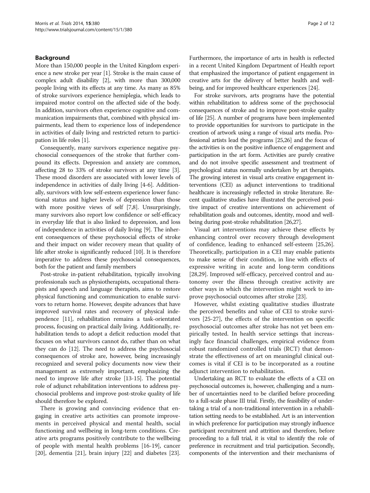### Background

More than 150,000 people in the United Kingdom experience a new stroke per year [\[1](#page-11-0)]. Stroke is the main cause of complex adult disability [\[2\]](#page-11-0), with more than 300,000 people living with its effects at any time. As many as 85% of stroke survivors experience hemiplegia, which leads to impaired motor control on the affected side of the body. In addition, survivors often experience cognitive and communication impairments that, combined with physical impairments, lead them to experience loss of independence in activities of daily living and restricted return to participation in life roles [[1](#page-11-0)].

Consequently, many survivors experience negative psychosocial consequences of the stroke that further compound its effects. Depression and anxiety are common, affecting 28 to 33% of stroke survivors at any time [[3](#page-11-0)]. These mood disorders are associated with lower levels of independence in activities of daily living [\[4](#page-11-0)-[6](#page-11-0)]. Additionally, survivors with low self-esteem experience lower functional status and higher levels of depression than those with more positive views of self [[7,8](#page-11-0)]. Unsurprisingly, many survivors also report low confidence or self-efficacy in everyday life that is also linked to depression, and loss of independence in activities of daily living [\[9](#page-11-0)]. The inherent consequences of these psychosocial effects of stroke and their impact on wider recovery mean that quality of life after stroke is significantly reduced [\[10\]](#page-11-0). It is therefore imperative to address these psychosocial consequences, both for the patient and family members

Post-stroke in-patient rehabilitation, typically involving professionals such as physiotherapists, occupational therapists and speech and language therapists, aims to restore physical functioning and communication to enable survivors to return home. However, despite advances that have improved survival rates and recovery of physical independence [[11](#page-11-0)], rehabilitation remains a task-orientated process, focusing on practical daily living. Additionally, rehabilitation tends to adopt a deficit reduction model that focuses on what survivors cannot do, rather than on what they can do [[12\]](#page-11-0). The need to address the psychosocial consequences of stroke are, however, being increasingly recognized and several policy documents now view their management as extremely important, emphasizing the need to improve life after stroke [\[13](#page-11-0)[-15](#page-12-0)]. The potential role of adjunct rehabilitation interventions to address psychosocial problems and improve post-stroke quality of life should therefore be explored.

There is growing and convincing evidence that engaging in creative arts activities can promote improvements in perceived physical and mental health, social functioning and wellbeing in long-term conditions. Creative arts programs positively contribute to the wellbeing of people with mental health problems [[16-19](#page-12-0)], cancer [[20\]](#page-12-0), dementia [[21\]](#page-12-0), brain injury [\[22](#page-12-0)] and diabetes [\[23](#page-12-0)]. Furthermore, the importance of arts in health is reflected in a recent United Kingdom Department of Health report that emphasized the importance of patient engagement in creative arts for the delivery of better health and wellbeing, and for improved healthcare experiences [[24](#page-12-0)].

For stroke survivors, arts programs have the potential within rehabilitation to address some of the psychosocial consequences of stroke and to improve post-stroke quality of life [[25](#page-12-0)]. A number of programs have been implemented to provide opportunities for survivors to participate in the creation of artwork using a range of visual arts media. Professional artists lead the programs [\[25,26](#page-12-0)] and the focus of the activities is on the positive influence of engagement and participation in the art form. Activities are purely creative and do not involve specific assessment and treatment of psychological status normally undertaken by art therapists. The growing interest in visual arts creative engagement interventions (CEI) as adjunct interventions to traditional healthcare is increasingly reflected in stroke literature. Recent qualitative studies have illustrated the perceived positive impact of creative interventions on achievement of rehabilitation goals and outcomes, identity, mood and wellbeing during post-stroke rehabilitation [[26,27](#page-12-0)].

Visual art interventions may achieve these effects by enhancing control over recovery through development of confidence, leading to enhanced self-esteem [\[25,26](#page-12-0)]. Theoretically, participation in a CEI may enable patients to make sense of their condition, in line with effects of expressive writing in acute and long-term conditions [[28,29\]](#page-12-0). Improved self-efficacy, perceived control and autonomy over the illness through creative activity are other ways in which the intervention might work to improve psychosocial outcomes after stroke [[23](#page-12-0)].

However, whilst existing qualitative studies illustrate the perceived benefits and value of CEI to stroke survivors [\[25](#page-12-0)-[27](#page-12-0)], the effects of the intervention on specific psychosocial outcomes after stroke has not yet been empirically tested. In health service settings that increasingly face financial challenges, empirical evidence from robust randomized controlled trials (RCT) that demonstrate the effectiveness of art on meaningful clinical outcomes is vital if CEI is to be incorporated as a routine adjunct intervention to rehabilitation.

Undertaking an RCT to evaluate the effects of a CEI on psychosocial outcomes is, however, challenging and a number of uncertainties need to be clarified before proceeding to a full-scale phase III trial. Firstly, the feasibility of undertaking a trial of a non-traditional intervention in a rehabilitation setting needs to be established. Art is an intervention in which preference for participation may strongly influence participant recruitment and attrition and therefore, before proceeding to a full trial, it is vital to identify the role of preference in recruitment and trial participation. Secondly, components of the intervention and their mechanisms of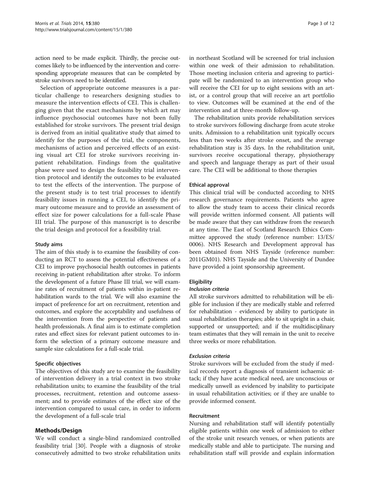action need to be made explicit. Thirdly, the precise outcomes likely to be influenced by the intervention and corresponding appropriate measures that can be completed by stroke survivors need to be identified.

Selection of appropriate outcome measures is a particular challenge to researchers designing studies to measure the intervention effects of CEI. This is challenging given that the exact mechanisms by which art may influence psychosocial outcomes have not been fully established for stroke survivors. The present trial design is derived from an initial qualitative study that aimed to identify for the purposes of the trial, the components, mechanisms of action and perceived effects of an existing visual art CEI for stroke survivors receiving inpatient rehabilitation. Findings from the qualitative phase were used to design the feasibility trial intervention protocol and identify the outcomes to be evaluated to test the effects of the intervention. The purpose of the present study is to test trial processes to identify feasibility issues in running a CEI, to identify the primary outcome measure and to provide an assessment of effect size for power calculations for a full-scale Phase III trial. The purpose of this manuscript is to describe the trial design and protocol for a feasibility trial.

### Study aims

The aim of this study is to examine the feasibility of conducting an RCT to assess the potential effectiveness of a CEI to improve psychosocial health outcomes in patients receiving in-patient rehabilitation after stroke. To inform the development of a future Phase III trial, we will examine rates of recruitment of patients within in-patient rehabilitation wards to the trial. We will also examine the impact of preference for art on recruitment, retention and outcomes, and explore the acceptability and usefulness of the intervention from the perspective of patients and health professionals. A final aim is to estimate completion rates and effect sizes for relevant patient outcomes to inform the selection of a primary outcome measure and sample size calculations for a full-scale trial.

#### Specific objectives

The objectives of this study are to examine the feasibility of intervention delivery in a trial context in two stroke rehabilitation units; to examine the feasibility of the trial processes, recruitment, retention and outcome assessment; and to provide estimates of the effect size of the intervention compared to usual care, in order to inform the development of a full-scale trial

#### Methods/Design

We will conduct a single-blind randomized controlled feasibility trial [[30\]](#page-12-0). People with a diagnosis of stroke consecutively admitted to two stroke rehabilitation units

in northeast Scotland will be screened for trial inclusion within one week of their admission to rehabilitation. Those meeting inclusion criteria and agreeing to participate will be randomized to an intervention group who will receive the CEI for up to eight sessions with an artist, or a control group that will receive an art portfolio to view. Outcomes will be examined at the end of the intervention and at three-month follow-up.

The rehabilitation units provide rehabilitation services to stroke survivors following discharge from acute stroke units. Admission to a rehabilitation unit typically occurs less than two weeks after stroke onset, and the average rehabilitation stay is 35 days. In the rehabilitation unit, survivors receive occupational therapy, physiotherapy and speech and language therapy as part of their usual care. The CEI will be additional to those therapies

#### Ethical approval

This clinical trial will be conducted according to NHS research governance requirements. Patients who agree to allow the study team to access their clinical records will provide written informed consent. All patients will be made aware that they can withdraw from the research at any time. The East of Scotland Research Ethics Committee approved the study (reference number: 13/ES/ 0006). NHS Research and Development approval has been obtained from NHS Tayside (reference number: 2011GM01). NHS Tayside and the University of Dundee have provided a joint sponsorship agreement.

#### **Eligibility**

# Inclusion criteria

All stroke survivors admitted to rehabilitation will be eligible for inclusion if they are medically stable and referred for rehabilitation - evidenced by ability to participate in usual rehabilitation therapies; able to sit upright in a chair, supported or unsupported; and if the multidisciplinary team estimates that they will remain in the unit to receive three weeks or more rehabilitation.

#### Exclusion criteria

Stroke survivors will be excluded from the study if medical records report a diagnosis of transient ischaemic attack; if they have acute medical need, are unconscious or medically unwell as evidenced by inability to participate in usual rehabilitation activities; or if they are unable to provide informed consent.

#### Recruitment

Nursing and rehabilitation staff will identify potentially eligible patients within one week of admission to either of the stroke unit research venues, or when patients are medically stable and able to participate. The nursing and rehabilitation staff will provide and explain information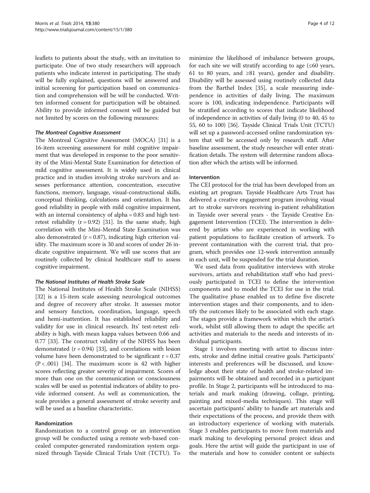leaflets to patients about the study, with an invitation to participate. One of two study researchers will approach patients who indicate interest in participating. The study will be fully explained, questions will be answered and initial screening for participation based on communication and comprehension will be will be conducted. Written informed consent for participation will be obtained. Ability to provide informed consent will be guided but not limited by scores on the following measures:

### The Montreal Cognitive Assessment

The Montreal Cognitive Assessment (MOCA) [[31](#page-12-0)] is a 16-item screening assessment for mild cognitive impairment that was developed in response to the poor sensitivity of the Mini-Mental State Examination for detection of mild cognitive assessment. It is widely used in clinical practice and in studies involving stroke survivors and assesses performance attention, concentration, executive functions, memory, language, visual-constructional skills, conceptual thinking, calculations and orientation. It has good reliability in people with mild cognitive impairment, with an internal consistency of alpha = 0.83 and high testretest reliability  $(r = 0.92)$  [\[31\]](#page-12-0). In the same study, high correlation with the Mini-Mental State Examination was also demonstrated ( $r = 0.87$ ), indicating high criterion validity. The maximum score is 30 and scores of under 26 indicate cognitive impairment. We will use scores that are routinely collected by clinical healthcare staff to assess cognitive impairment.

# The National Institutes of Health Stroke Scale

The National Institutes of Health Stroke Scale (NIHSS) [[32\]](#page-12-0) is a 15-item scale assessing neurological outcomes and degree of recovery after stroke. It assesses motor and sensory function, coordination, language, speech and hemi-inattention. It has established reliability and validity for use in clinical research. Its' test-retest reliability is high, with mean kappa values between 0.66 and 0.77 [\[33](#page-12-0)]. The construct validity of the NIHSS has been demonstrated  $(r = 0.94)$  [\[33\]](#page-12-0), and correlations with lesion volume have been demonstrated to be significant  $r = 0.37$  $(P < .001)$  [\[34\]](#page-12-0). The maximum score is 42 with higher scores reflecting greater severity of impairment. Scores of more than one on the communication or consciousness scales will be used as potential indicators of ability to provide informed consent. As well as communication, the scale provides a general assessment of stroke severity and will be used as a baseline characteristic.

#### Randomization

Randomization to a control group or an intervention group will be conducted using a remote web-based concealed computer-generated randomization system organized through Tayside Clinical Trials Unit (TCTU). To

minimize the likelihood of imbalance between groups, for each site we will stratify according to age  $(\leq 60 \text{ years})$ 61 to 80 years, and ≥81 years), gender and disability. Disability will be assessed using routinely collected data from the Barthel Index [\[35](#page-12-0)], a scale measuring independence in activities of daily living. The maximum score is 100, indicating independence. Participants will be stratified according to scores that indicate likelihood of independence in activities of daily living (0 to 40, 45 to 55, 60 to 100) [\[36\]](#page-12-0). Tayside Clinical Trials Unit (TCTU) will set up a password-accessed online randomization system that will be accessed only by research staff. After baseline assessment, the study researcher will enter stratification details. The system will determine random allocation after which the artists will be informed.

### Intervention

The CEI protocol for the trial has been developed from an existing art program. Tayside Healthcare Arts Trust has delivered a creative engagement program involving visual art to stroke survivors receiving in-patient rehabilitation in Tayside over several years - the Tayside Creative Engagement Intervention (TCEI). The intervention is delivered by artists who are experienced in working with patient populations to facilitate creation of artwork. To prevent contamination with the current trial, that program, which provides one 12-week intervention annually in each unit, will be suspended for the trial duration.

We used data from qualitative interviews with stroke survivors, artists and rehabilitation staff who had previously participated in TCEI to define the intervention components and to model the TCEI for use in the trial. The qualitative phase enabled us to define five discrete intervention stages and their components, and to identify the outcomes likely to be associated with each stage. The stages provide a framework within which the artist's work, whilst still allowing them to adapt the specific art activities and materials to the needs and interests of individual participants.

Stage 1 involves meeting with artist to discuss interests, stroke and define initial creative goals. Participants' interests and preferences will be discussed, and knowledge about their state of health and stroke-related impairments will be obtained and recorded in a participant profile. In Stage 2, participants will be introduced to materials and mark making (drawing, collage, printing, painting and mixed-media techniques). This stage will ascertain participants' ability to handle art materials and their expectations of the process, and provide them with an introductory experience of working with materials. Stage 3 enables participants to move from materials and mark making to developing personal project ideas and goals. Here the artist will guide the participant in use of the materials and how to consider content or subjects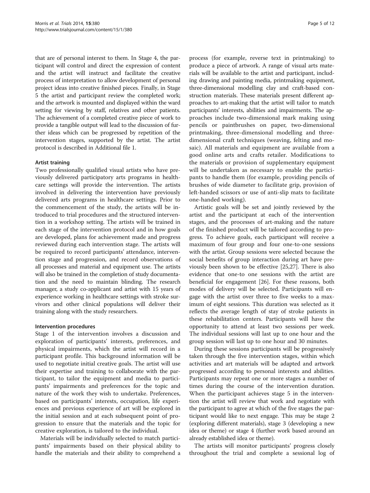that are of personal interest to them. In Stage 4, the participant will control and direct the expression of content and the artist will instruct and facilitate the creative process of interpretation to allow development of personal project ideas into creative finished pieces. Finally, in Stage 5 the artist and participant review the completed work; and the artwork is mounted and displayed within the ward setting for viewing by staff, relatives and other patients. The achievement of a completed creative piece of work to provide a tangible output will lead to the discussion of further ideas which can be progressed by repetition of the intervention stages, supported by the artist. The artist protocol is described in Additional file [1](#page-11-0).

### Artist training

Two professionally qualified visual artists who have previously delivered participatory arts programs in healthcare settings will provide the intervention. The artists involved in delivering the intervention have previously delivered arts programs in healthcare settings. Prior to the commencement of the study, the artists will be introduced to trial procedures and the structured intervention in a workshop setting. The artists will be trained in each stage of the intervention protocol and in how goals are developed, plans for achievement made and progress reviewed during each intervention stage. The artists will be required to record participants' attendance, intervention stage and progression, and record observations of all processes and material and equipment use. The artists will also be trained in the completion of study documentation and the need to maintain blinding. The research manager, a study co-applicant and artist with 15 years of experience working in healthcare settings with stroke survivors and other clinical populations will deliver their training along with the study researchers.

#### Intervention procedures

Stage 1 of the intervention involves a discussion and exploration of participants' interests, preferences, and physical impairments, which the artist will record in a participant profile. This background information will be used to negotiate initial creative goals. The artist will use their expertise and training to collaborate with the participant, to tailor the equipment and media to participants' impairments and preferences for the topic and nature of the work they wish to undertake. Preferences, based on participants' interests, occupation, life experiences and previous experience of art will be explored in the initial session and at each subsequent point of progression to ensure that the materials and the topic for creative exploration, is tailored to the individual.

Materials will be individually selected to match participants' impairments based on their physical ability to handle the materials and their ability to comprehend a

process (for example, reverse text in printmaking) to produce a piece of artwork. A range of visual arts materials will be available to the artist and participant, including drawing and painting media, printmaking equipment, three-dimensional modelling clay and craft-based construction materials. These materials present different approaches to art-making that the artist will tailor to match participants' interests, abilities and impairments. The approaches include two-dimensional mark making using pencils or paintbrushes on paper, two-dimensional printmaking, three-dimensional modelling and threedimensional craft techniques (weaving, felting and mosaic). All materials and equipment are available from a good online arts and crafts retailer. Modifications to the materials or provision of supplementary equipment will be undertaken as necessary to enable the participants to handle them (for example, providing pencils of brushes of wide diameter to facilitate grip, provision of left-handed scissors or use of anti-slip mats to facilitate one-handed working).

Artistic goals will be set and jointly reviewed by the artist and the participant at each of the intervention stages, and the processes of art-making and the nature of the finished product will be tailored according to progress. To achieve goals, each participant will receive a maximum of four group and four one-to-one sessions with the artist. Group sessions were selected because the social benefits of group interaction during art have previously been shown to be effective [[25,27](#page-12-0)]. There is also evidence that one-to one sessions with the artist are beneficial for engagement [[26\]](#page-12-0). For these reasons, both modes of delivery will be selected. Participants will engage with the artist over three to five weeks to a maximum of eight sessions. This duration was selected as it reflects the average length of stay of stroke patients in these rehabilitation centers. Participants will have the opportunity to attend at least two sessions per week. The individual sessions will last up to one hour and the group session will last up to one hour and 30 minutes.

During these sessions participants will be progressively taken through the five intervention stages, within which activities and art materials will be adapted and artwork progressed according to personal interests and abilities. Participants may repeat one or more stages a number of times during the course of the intervention duration. When the participant achieves stage 5 in the intervention the artist will review that work and negotiate with the participant to agree at which of the five stages the participant would like to next engage. This may be stage 2 (exploring different materials), stage 3 (developing a new idea or theme) or stage 4 (further work based around an already established idea or theme).

The artists will monitor participants' progress closely throughout the trial and complete a sessional log of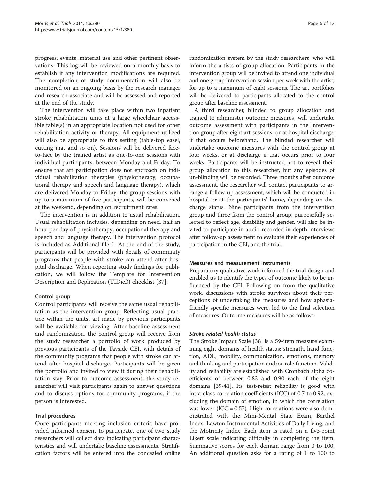progress, events, material use and other pertinent observations. This log will be reviewed on a monthly basis to establish if any intervention modifications are required. The completion of study documentation will also be monitored on an ongoing basis by the research manager and research associate and will be assessed and reported at the end of the study.

The intervention will take place within two inpatient stroke rehabilitation units at a large wheelchair accessible table(s) in an appropriate location not used for other rehabilitation activity or therapy. All equipment utilized will also be appropriate to this setting (table-top easel, cutting mat and so on). Sessions will be delivered faceto-face by the trained artist as one-to-one sessions with individual participants, between Monday and Friday. To ensure that art participation does not encroach on individual rehabilitation therapies (physiotherapy, occupational therapy and speech and language therapy), which are delivered Monday to Friday, the group sessions with up to a maximum of five participants, will be convened at the weekend, depending on recruitment rates.

The intervention is in addition to usual rehabilitation. Usual rehabilitation includes, depending on need, half an hour per day of physiotherapy, occupational therapy and speech and language therapy. The intervention protocol is included as Additional file [1](#page-11-0). At the end of the study, participants will be provided with details of community programs that people with stroke can attend after hospital discharge. When reporting study findings for publication, we will follow the Template for Intervention Description and Replication (TIDieR) checklist [[37\]](#page-12-0).

# Control group

Control participants will receive the same usual rehabilitation as the intervention group. Reflecting usual practice within the units, art made by previous participants will be available for viewing. After baseline assessment and randomization, the control group will receive from the study researcher a portfolio of work produced by previous participants of the Tayside CEI, with details of the community programs that people with stroke can attend after hospital discharge. Participants will be given the portfolio and invited to view it during their rehabilitation stay. Prior to outcome assessment, the study researcher will visit participants again to answer questions and to discuss options for community programs, if the person is interested.

# Trial procedures

Once participants meeting inclusion criteria have provided informed consent to participate, one of two study researchers will collect data indicating participant characteristics and will undertake baseline assessments. Stratification factors will be entered into the concealed online

randomization system by the study researchers, who will inform the artists of group allocation. Participants in the intervention group will be invited to attend one individual and one group intervention session per week with the artist, for up to a maximum of eight sessions. The art portfolios will be delivered to participants allocated to the control group after baseline assessment.

A third researcher, blinded to group allocation and trained to administer outcome measures, will undertake outcome assessment with participants in the intervention group after eight art sessions, or at hospital discharge, if that occurs beforehand. The blinded researcher will undertake outcome measures with the control group at four weeks, or at discharge if that occurs prior to four weeks. Participants will be instructed not to reveal their group allocation to this researcher, but any episodes of un-blinding will be recorded. Three months after outcome assessment, the researcher will contact participants to arrange a follow-up assessment, which will be conducted in hospital or at the participants' home, depending on discharge status. Nine participants from the intervention group and three from the control group, purposefully selected to reflect age, disability and gender, will also be invited to participate in audio-recorded in-depth interviews after follow-up assessment to evaluate their experiences of participation in the CEI, and the trial.

#### Measures and measurement instruments

Preparatory qualitative work informed the trial design and enabled us to identify the types of outcome likely to be influenced by the CEI. Following on from the qualitative work, discussions with stroke survivors about their perceptions of undertaking the measures and how aphasiafriendly specific measures were, led to the final selection of measures. Outcome measures will be as follows:

#### Stroke-related health status

The Stroke Impact Scale [\[38\]](#page-12-0) is a 59-item measure examining eight domains of health status: strength, hand function, ADL, mobility, communication, emotions, memory and thinking and participation and/or role function. Validity and reliability are established with Cronbach alpha coefficients of between 0.83 and 0.90 each of the eight domains [\[39-41\]](#page-12-0). Its' test-retest reliability is good with intra-class correlation coefficients (ICC) of 0.7 to 0.92, excluding the domain of emotion, in which the correlation was lower (ICC =  $0.57$ ). High correlations were also demonstrated with the Mini-Mental State Exam, Barthel Index, Lawton Instrumental Activities of Daily Living, and the Motricity Index. Each item is rated on a five-point Likert scale indicating difficulty in completing the item. Summative scores for each domain range from 0 to 100. An additional question asks for a rating of 1 to 100 to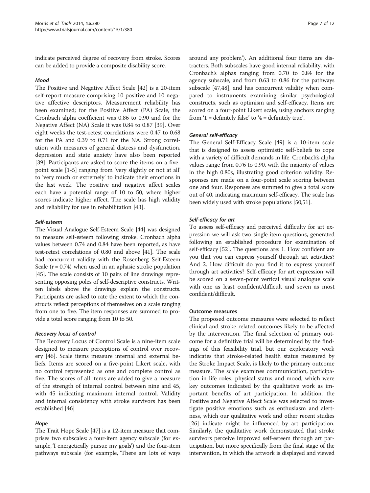indicate perceived degree of recovery from stroke. Scores can be added to provide a composite disability score.

#### Mood

The Positive and Negative Affect Scale [[42\]](#page-12-0) is a 20-item self-report measure comprising 10 positive and 10 negative affective descriptors. Measurement reliability has been examined; for the Positive Affect (PA) Scale, the Cronbach alpha coefficient was 0.86 to 0.90 and for the Negative Affect (NA) Scale it was 0.84 to 0.87 [\[39\]](#page-12-0). Over eight weeks the test-retest correlations were 0.47 to 0.68 for the PA and 0.39 to 0.71 for the NA. Strong correlation with measures of general distress and dysfunction, depression and state anxiety have also been reported [[39\]](#page-12-0). Participants are asked to score the items on a fivepoint scale [\[1](#page-11-0)-[5\]](#page-11-0) ranging from 'very slightly or not at all' to 'very much or extremely' to indicate their emotions in the last week. The positive and negative affect scales each have a potential range of 10 to 50, where higher scores indicate higher affect. The scale has high validity and reliability for use in rehabilitation [[43\]](#page-12-0).

### Self-esteem

The Visual Analogue Self-Esteem Scale [\[44\]](#page-12-0) was designed to measure self-esteem following stroke. Cronbach alpha values between 0.74 and 0.84 have been reported, as have test-retest correlations of 0.80 and above [[41](#page-12-0)]. The scale had concurrent validity with the Rosenberg Self-Esteem Scale  $(r = 0.74)$  when used in an aphasic stroke population [[45](#page-12-0)]. The scale consists of 10 pairs of line drawings representing opposing poles of self-descriptive constructs. Written labels above the drawings explain the constructs. Participants are asked to rate the extent to which the constructs reflect perceptions of themselves on a scale ranging from one to five. The item responses are summed to provide a total score ranging from 10 to 50.

# Recovery locus of control

The Recovery Locus of Control Scale is a nine-item scale designed to measure perceptions of control over recovery [\[46](#page-12-0)]. Scale items measure internal and external beliefs. Items are scored on a five-point Likert scale, with no control represented as one and complete control as five. The scores of all items are added to give a measure of the strength of internal control between nine and 45, with 45 indicating maximum internal control. Validity and internal consistency with stroke survivors has been established [\[46](#page-12-0)]

# Hope

The Trait Hope Scale [[47](#page-12-0)] is a 12-item measure that comprises two subscales: a four-item agency subscale (for example, 'I energetically pursue my goals') and the four-item pathways subscale (for example, 'There are lots of ways around any problem'). An additional four items are distracters. Both subscales have good internal reliability, with Cronbach's alphas ranging from 0.70 to 0.84 for the agency subscale, and from 0.63 to 0.86 for the pathways subscale [[47,48](#page-12-0)], and has concurrent validity when compared to instruments examining similar psychological constructs, such as optimism and self-efficacy. Items are scored on a four-point Likert scale, using anchors ranging from  $1 =$  definitely false' to  $4 =$  definitely true'.

# General self-efficacy

The General Self-Efficacy Scale [\[49](#page-12-0)] is a 10-item scale that is designed to assess optimistic self-beliefs to cope with a variety of difficult demands in life. Cronbach's alpha values range from 0.76 to 0.90, with the majority of values in the high 0.80s, illustrating good criterion validity. Responses are made on a four-point scale scoring between one and four. Responses are summed to give a total score out of 40, indicating maximum self-efficacy. The scale has been widely used with stroke populations [\[50,51\]](#page-12-0).

# Self-efficacy for art

To assess self-efficacy and perceived difficulty for art expression we will ask two single item questions, generated following an established procedure for examination of self-efficacy [\[52\]](#page-12-0). The questions are: 1. How confident are you that you can express yourself through art activities? And 2. How difficult do you find it to express yourself through art activities? Self-efficacy for art expression will be scored on a seven-point vertical visual analogue scale with one as least confident/difficult and seven as most confident/difficult.

#### Outcome measures

The proposed outcome measures were selected to reflect clinical and stroke-related outcomes likely to be affected by the intervention. The final selection of primary outcome for a definitive trial will be determined by the findings of this feasibility trial, but our exploratory work indicates that stroke-related health status measured by the Stroke Impact Scale, is likely to the primary outcome measure. The scale examines communication, participation in life roles, physical status and mood, which were key outcomes indicated by the qualitative work as important benefits of art participation. In addition, the Positive and Negative Affect Scale was selected to investigate positive emotions such as enthusiasm and alertness, which our qualitative work and other recent studies [[26](#page-12-0)] indicate might be influenced by art participation. Similarly, the qualitative work demonstrated that stroke survivors perceive improved self-esteem through art participation, but more specifically from the final stage of the intervention, in which the artwork is displayed and viewed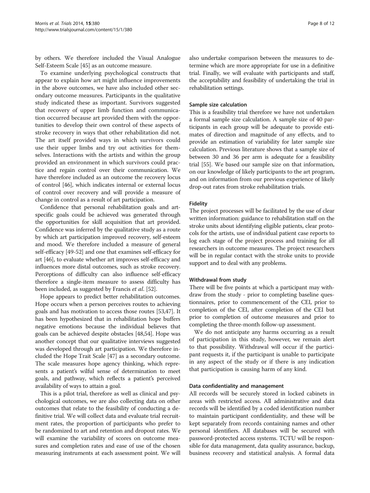by others. We therefore included the Visual Analogue Self-Esteem Scale [\[45\]](#page-12-0) as an outcome measure.

To examine underlying psychological constructs that appear to explain how art might influence improvements in the above outcomes, we have also included other secondary outcome measures. Participants in the qualitative study indicated these as important. Survivors suggested that recovery of upper limb function and communication occurred because art provided them with the opportunities to develop their own control of these aspects of stroke recovery in ways that other rehabilitation did not. The art itself provided ways in which survivors could use their upper limbs and try out activities for themselves. Interactions with the artists and within the group provided an environment in which survivors could practice and regain control over their communication. We have therefore included as an outcome the recovery locus of control [\[46\]](#page-12-0), which indicates internal or external locus of control over recovery and will provide a measure of change in control as a result of art participation.

Confidence that personal rehabilitation goals and artspecific goals could be achieved was generated through the opportunities for skill acquisition that art provided. Confidence was inferred by the qualitative study as a route by which art participation improved recovery, self-esteem and mood. We therefore included a measure of general self-efficacy [[49](#page-12-0)-[52](#page-12-0)] and one that examines self-efficacy for art [[46](#page-12-0)], to evaluate whether art improves self-efficacy and influences more distal outcomes, such as stroke recovery. Perceptions of difficulty can also influence self-efficacy therefore a single-item measure to assess difficulty has been included, as suggested by Francis et al. [\[52\]](#page-12-0).

Hope appears to predict better rehabilitation outcomes. Hope occurs when a person perceives routes to achieving goals and has motivation to access those routes [[53,47\]](#page-12-0). It has been hypothesized that in rehabilitation hope buffers negative emotions because the individual believes that goals can be achieved despite obstacles [[48,54](#page-12-0)]. Hope was another concept that our qualitative interviews suggested was developed through art participation. We therefore included the Hope Trait Scale [[47](#page-12-0)] as a secondary outcome. The scale measures hope agency thinking, which represents a patient's wilful sense of determination to meet goals, and pathway, which reflects a patient's perceived availability of ways to attain a goal.

This is a pilot trial, therefore as well as clinical and psychological outcomes, we are also collecting data on other outcomes that relate to the feasibility of conducting a definitive trial. We will collect data and evaluate trial recruitment rates, the proportion of participants who prefer to be randomized to art and retention and dropout rates. We will examine the variability of scores on outcome measures and completion rates and ease of use of the chosen measuring instruments at each assessment point. We will

also undertake comparison between the measures to determine which are more appropriate for use in a definitive trial. Finally, we will evaluate with participants and staff, the acceptability and feasibility of undertaking the trial in rehabilitation settings.

#### Sample size calculation

This is a feasibility trial therefore we have not undertaken a formal sample size calculation. A sample size of 40 participants in each group will be adequate to provide estimates of direction and magnitude of any effects, and to provide an estimation of variability for later sample size calculation. Previous literature shows that a sample size of between 30 and 36 per arm is adequate for a feasibility trial [\[55\]](#page-12-0). We based our sample size on that information, on our knowledge of likely participants to the art program, and on information from our previous experience of likely drop-out rates from stroke rehabilitation trials.

#### Fidelity

The project processes will be facilitated by the use of clear written information: guidance to rehabilitation staff on the stroke units about identifying eligible patients, clear protocols for the artists, use of individual patient case reports to log each stage of the project process and training for all researchers in outcome measures. The project researchers will be in regular contact with the stroke units to provide support and to deal with any problems.

#### Withdrawal from study

There will be five points at which a participant may withdraw from the study - prior to completing baseline questionnaires, prior to commencement of the CEI, prior to completion of the CEI, after completion of the CEI but prior to completion of outcome measures and prior to completing the three-month follow-up assessment.

We do not anticipate any harms occurring as a result of participation in this study, however, we remain alert to that possibility. Withdrawal will occur if the participant requests it, if the participant is unable to participate in any aspect of the study or if there is any indication that participation is causing harm of any kind.

#### Data confidentiality and management

All records will be securely stored in locked cabinets in areas with restricted access. All administrative and data records will be identified by a coded identification number to maintain participant confidentiality, and these will be kept separately from records containing names and other personal identifiers. All databases will be secured with password-protected access systems. TCTU will be responsible for data management, data quality assurance, backup, business recovery and statistical analysis. A formal data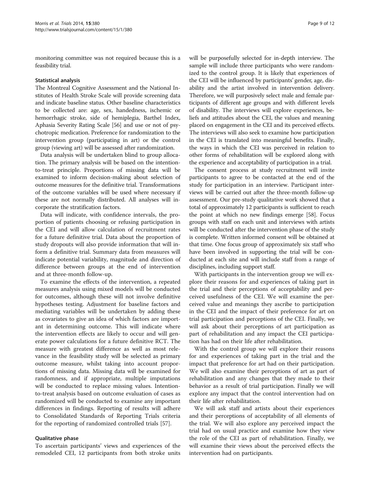monitoring committee was not required because this is a feasibility trial.

#### Statistical analysis

The Montreal Cognitive Assessment and the National Institutes of Health Stroke Scale will provide screening data and indicate baseline status. Other baseline characteristics to be collected are: age, sex, handedness, ischemic or hemorrhagic stroke, side of hemiplegia, Barthel Index, Aphasia Severity Rating Scale [\[56\]](#page-12-0) and use or not of psychotropic medication. Preference for randomization to the intervention group (participating in art) or the control group (viewing art) will be assessed after randomization.

Data analysis will be undertaken blind to group allocation. The primary analysis will be based on the intentionto-treat principle. Proportions of missing data will be examined to inform decision-making about selection of outcome measures for the definitive trial. Transformations of the outcome variables will be used where necessary if these are not normally distributed. All analyses will incorporate the stratification factors.

Data will indicate, with confidence intervals, the proportion of patients choosing or refusing participation in the CEI and will allow calculation of recruitment rates for a future definitive trial. Data about the proportion of study dropouts will also provide information that will inform a definitive trial. Summary data from measures will indicate potential variability, magnitude and direction of difference between groups at the end of intervention and at three-month follow-up.

To examine the effects of the intervention, a repeated measures analysis using mixed models will be conducted for outcomes, although these will not involve definitive hypotheses testing. Adjustment for baseline factors and mediating variables will be undertaken by adding these as covariates to give an idea of which factors are important in determining outcome. This will indicate where the intervention effects are likely to occur and will generate power calculations for a future definitive RCT. The measure with greatest difference as well as most relevance in the feasibility study will be selected as primary outcome measure, whilst taking into account proportions of missing data. Missing data will be examined for randomness, and if appropriate, multiple imputations will be conducted to replace missing values. Intentionto-treat analysis based on outcome evaluation of cases as randomized will be conducted to examine any important differences in findings. Reporting of results will adhere to Consolidated Standards of Reporting Trials criteria for the reporting of randomized controlled trials [\[57\]](#page-12-0).

#### Qualitative phase

To ascertain participants' views and experiences of the remodeled CEI, 12 participants from both stroke units

will be purposefully selected for in-depth interview. The sample will include three participants who were randomized to the control group. It is likely that experiences of the CEI will be influenced by participants' gender, age, disability and the artist involved in intervention delivery. Therefore, we will purposively select male and female participants of different age groups and with different levels of disability. The interviews will explore experiences, beliefs and attitudes about the CEI, the values and meaning placed on engagement in the CEI and its perceived effects. The interviews will also seek to examine how participation in the CEI is translated into meaningful benefits. Finally, the ways in which the CEI was perceived in relation to other forms of rehabilitation will be explored along with the experience and acceptability of participation in a trial.

The consent process at study recruitment will invite participants to agree to be contacted at the end of the study for participation in an interview. Participant interviews will be carried out after the three-month follow-up assessment. Our pre-study qualitative work showed that a total of approximately 12 participants is sufficient to reach the point at which no new findings emerge [\[58\]](#page-12-0). Focus groups with staff on each unit and interviews with artists will be conducted after the intervention phase of the study is complete. Written informed consent will be obtained at that time. One focus group of approximately six staff who have been involved in supporting the trial will be conducted at each site and will include staff from a range of disciplines, including support staff.

With participants in the intervention group we will explore their reasons for and experiences of taking part in the trial and their perceptions of acceptability and perceived usefulness of the CEI. We will examine the perceived value and meanings they ascribe to participation in the CEI and the impact of their preference for art on trial participation and perceptions of the CEI. Finally, we will ask about their perceptions of art participation as part of rehabilitation and any impact the CEI participation has had on their life after rehabilitation.

With the control group we will explore their reasons for and experiences of taking part in the trial and the impact that preference for art had on their participation. We will also examine their perceptions of art as part of rehabilitation and any changes that they made to their behavior as a result of trial participation. Finally we will explore any impact that the control intervention had on their life after rehabilitation.

We will ask staff and artists about their experiences and their perceptions of acceptability of all elements of the trial. We will also explore any perceived impact the trial had on usual practice and examine how they view the role of the CEI as part of rehabilitation. Finally, we will examine their views about the perceived effects the intervention had on participants.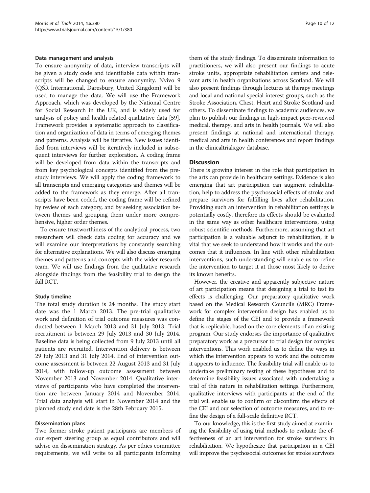#### Data management and analysis

To ensure anonymity of data, interview transcripts will be given a study code and identifiable data within transcripts will be changed to ensure anonymity. Nvivo 9 (QSR International, Daresbury, United Kingdom) will be used to manage the data. We will use the Framework Approach, which was developed by the National Centre for Social Research in the UK, and is widely used for analysis of policy and health related qualitative data [\[59](#page-12-0)]. Framework provides a systematic approach to classification and organization of data in terms of emerging themes and patterns. Analysis will be iterative. New issues identified from interviews will be iteratively included in subsequent interviews for further exploration. A coding frame will be developed from data within the transcripts and from key psychological concepts identified from the prestudy interviews. We will apply the coding framework to all transcripts and emerging categories and themes will be added to the framework as they emerge. After all transcripts have been coded, the coding frame will be refined by review of each category, and by seeking association between themes and grouping them under more comprehensive, higher order themes.

To ensure trustworthiness of the analytical process, two researchers will check data coding for accuracy and we will examine our interpretations by constantly searching for alternative explanations. We will also discuss emerging themes and patterns and concepts with the wider research team. We will use findings from the qualitative research alongside findings from the feasibility trial to design the full RCT.

#### Study timeline

The total study duration is 24 months. The study start date was the 1 March 2013. The pre-trial qualitative work and definition of trial outcome measures was conducted between 1 March 2013 and 31 July 2013. Trial recruitment is between 29 July 2013 and 30 July 2014. Baseline data is being collected from 9 July 2013 until all patients are recruited. Intervention delivery is between 29 July 2013 and 31 July 2014. End of intervention outcome assessment is between 22 August 2013 and 31 July 2014, with follow-up outcome assessment between November 2013 and November 2014. Qualitative interviews of participants who have completed the intervention are between January 2014 and November 2014. Trial data analysis will start in November 2014 and the planned study end date is the 28th February 2015.

#### Dissemination plans

Two former stroke patient participants are members of our expert steering group as equal contributors and will advise on dissemination strategy. As per ethics committee requirements, we will write to all participants informing

them of the study findings. To disseminate information to practitioners, we will also present our findings to acute stroke units, appropriate rehabilitation centers and relevant arts in health organizations across Scotland. We will also present findings through lectures at therapy meetings and local and national special interest groups, such as the Stroke Association, Chest, Heart and Stroke Scotland and others. To disseminate findings to academic audiences, we plan to publish our findings in high-impact peer-reviewed medical, therapy, and arts in health journals. We will also present findings at national and international therapy, medical and arts in health conferences and report findings in the clinicaltrials.gov database.

#### **Discussion**

There is growing interest in the role that participation in the arts can provide in healthcare settings. Evidence is also emerging that art participation can augment rehabilitation, help to address the psychosocial effects of stroke and prepare survivors for fulfilling lives after rehabilitation. Providing such an intervention in rehabilitation settings is potentially costly, therefore its effects should be evaluated in the same way as other healthcare interventions, using robust scientific methods. Furthermore, assuming that art participation is a valuable adjunct to rehabilitation, it is vital that we seek to understand how it works and the outcomes that it influences. In line with other rehabilitation interventions, such understanding will enable us to refine the intervention to target it at those most likely to derive its known benefits.

However, the creative and apparently subjective nature of art participation means that designing a trial to test its effects is challenging. Our preparatory qualitative work based on the Medical Research Council's (MRC) Framework for complex intervention design has enabled us to define the stages of the CEI and to provide a framework that is replicable, based on the core elements of an existing program. Our study endorses the importance of qualitative preparatory work as a precursor to trial design for complex interventions. This work enabled us to define the ways in which the intervention appears to work and the outcomes it appears to influence. The feasibility trial will enable us to undertake preliminary testing of these hypotheses and to determine feasibility issues associated with undertaking a trial of this nature in rehabilitation settings. Furthermore, qualitative interviews with participants at the end of the trial will enable us to confirm or disconfirm the effects of the CEI and our selection of outcome measures, and to refine the design of a full-scale definitive RCT.

To our knowledge, this is the first study aimed at examining the feasibility of using trial methods to evaluate the effectiveness of an art intervention for stroke survivors in rehabilitation. We hypothesize that participation in a CEI will improve the psychosocial outcomes for stroke survivors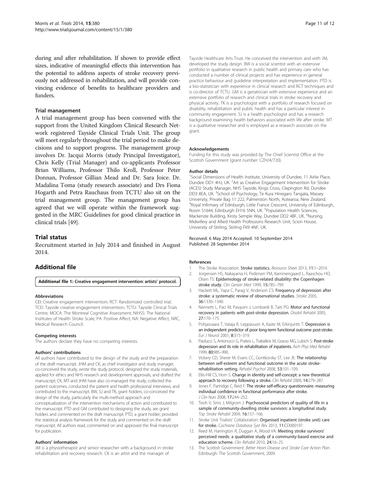<span id="page-11-0"></span>during and after rehabilitation. If shown to provide effect sizes, indicative of meaningful effects this intervention has the potential to address aspects of stroke recovery previously not addressed in rehabilitation, and will provide convincing evidence of benefits to healthcare providers and funders.

#### Trial management

A trial management group has been convened with the support from the United Kingdom Clinical Research Network registered Tayside Clinical Trials Unit. The group will meet regularly throughout the trial period to make decisions and to support progress. The management group involves Dr. Jacqui Morris (study Principal Investigator), Chris Kelly (Trial Manager) and co-applicants Professor Brian Williams, Professor Thilo Kroll, Professor Peter Donnan, Professor Gillian Mead and Dr. Sara Joice. Dr. Madalina Toma (study research associate) and Drs Fiona Hogarth and Petra Rauchaus from TCTU also sit on the trial management group. The management group has agreed that we will operate within the framework suggested in the MRC Guidelines for good clinical practice in clinical trials [[49](#page-12-0)].

#### Trial status

Recruitment started in July 2014 and finished in August 2014.

# Additional file

#### [Additional file 1:](http://www.biomedcentral.com/content/supplementary/1745-6215-15-380-S1.doc) Creative engagement intervention: artists' protocol.

#### Abbreviations

CEI: Creative engagement intervention; RCT: Randomized controlled trial; TCEI: Tayside creative engagement intervention; TCTU: Tayside Clinical Trials Centre; MOCA: The Montreal Cognitive Assessment; NIHSS: The National Institutes of Health Stroke Scale; PA: Positive Affect; NA: Negative Affect, NRC, Medical Research Council.

#### Competing interests

The authors declare they have no competing interests.

#### Authors' contributions

All authors have contributed to the design of the study and the preparation of the draft manuscript. JHM and CK, as chief investigator and study manager, co-conceived the study, wrote the study protocol, designed the study materials, applied for ethics and NHS research and development approvals, and drafted the manuscript; CK, MT and JHM have also co-managed the study, collected the patient outcomes, conducted the patient and health professional interviews, and contributed to the manuscript. BW, SJ and TK, grant holders, co-conceived the design of the study, particularly the multi-method approach and conceptualization of the intervention mechanisms of action and contributed to the manuscript. PTD and GM contributed to designing the study, are grant holders and commented on the draft manuscript. PTD, a grant holder, provided the statistical analysis framework for the study and commented on the draft manuscript. All authors read, commented on and approved the final manuscript for publication.

#### Authors' information

JM is a physiotherapist and senior researcher with a background in stroke rehabilitation and recovery research. CK is an artist and the manager of

Tayside Healthcare Arts Trust. He conceived the intervention and with JM, developed the study design. BW is a social scientist with an extensive portfolio in qualitative research in public health and primary care who has conducted a number of clinical projects and has experience in general practice behaviour and guideline interpretation and implementation. PTD is a bio-statistician with experience in clinical research and RCT techniques and is co-director of TCTU. GM is a geriatrician with extensive experience and an extensive portfolio of research and clinical trials in stroke recovery and physical activity. TK is a psychologist with a portfolio of research focused on disability, rehabilitation and public health and has a particular interest in community engagement. SJ is a health psychologist and has a research background examining health behaviors associated with life after stroke. MT is a qualitative researcher and is employed as a research associate on the grant.

#### Acknowledgements

Funding for this study was provided by The Chief Scientist Office at the Scottish Government (grant number: CZH/4/720).

#### Author details

<sup>1</sup>Social Dimensions of Health Institute, University of Dundee, 11 Airlie Place, Dundee DD1 4HJ, UK. <sup>2</sup>Art as Creative Engagement Intervention for Stroke (ACES) Study Manager, NHS Tayside, Kings Cross, Clepington Rd, Dundee DD3 8EA, UK. <sup>3</sup>School of Psychology, Te Kura Hinegaro Tangata, Massey University, Private Bag 11 222, Palmerston North, Aotearoa, New Zealand. 4 Royal Infirmary of Edinburgh, Little France Crescent, University of Edinburgh, Room S1644, Edinburgh EH16 5NN, UK. <sup>5</sup>Population Health Sciences Mackenzie Building, Kirsty Semple Way, Dundee DD2 4BF, UK. <sup>6</sup>Nursing Midwifery and Allied Health Professions Research Unit, Scion House, University of Stirling, Stirling FK9 4NF, UK.

#### Received: 6 May 2014 Accepted: 10 September 2014 Published: 28 September 2014

#### References

- 1. The Stroke Association: Stroke statistics. Resource Sheet 2013, 11:1-2014.
- 2. Jorgensen HS, Nakayama H, Pedersen PM, Kammersgaard L, Raaschou HO, Olsen TS: Epidemiology of stroke-related disability: the Copenhagen stroke study. Clin Geriatr Med 1999, 15:785-799.
- 3. Hackett ML, Yapa C, Parag V, Anderson CS: Frequency of depression after stroke: a systematic review of observational studies. Stroke 2005, 36:1330–1340.
- 4. Nannetti L, Paci M, Pasquini J, Lombardi B, Taiti PG: Motor and functional recovery in patients with post-stroke depression. Disabil Rehabil 2005, 27:170–175.
- 5. Pohjasvaara T, Vataja R, Leppavuori A, Kaste M, Erkinjuntti T: Depression is an independent predictor of poor long-term functional outcome post-stroke. Eur J Neurol 2001, 8:315–319.
- 6. Paolucci S, Antonucci G, Pratesi L, Traballesi M, Grasso MG, Lubich S: Post-stroke depression and its role in rehabilitation of inpatients. Arch Phys Med Rehabil 1999, 80:985–990.
- 7. Vickery CD, Sherer M, Evans CC, Gontkovsky ST, Lee JE: The relationship between self-esteem and functional outcome in the acute strokerehabilitation setting. Rehabil Psychol 2008, 53:101–109.
- 8. Ellis-Hill CS, Horn S: Change in identity and self-concept: a new theoretical approach to recovery following a stroke. Clin Rehabil 2000, 14:279-287
- 9. Jones F, Partridge C, Reid F: The stroke self-efficacy questionnaire: measuring individual confidence in functional performance after stroke. J Clin Nurs 2008, 17:244–252.
- 10. Teoh V, Sims J, Milgrom J: Psychosocial predictors of quality of life in a sample of community-dwelling stroke survivors: a longitudinal study. Top Stroke Rehabil 2009, 16:157–166.
- 11. Stroke Unit Trialists' Collaboration: Organised inpatient (stroke unit) care for stroke. Cochrane Database Syst Rev 2013, 11:CD000197.
- 12. Reed M, Harrington R, Duggan A, Wood VA: Meeting stroke survivors' perceived needs: a qualitative study of a community-based exercise and education scheme. Clin Rehabil 2010, 24:16–25.
- 13. The Scottish Government: Better Heart Disease and Stroke Care Action Plan. Edinburgh: The Scottish Government; 2009.